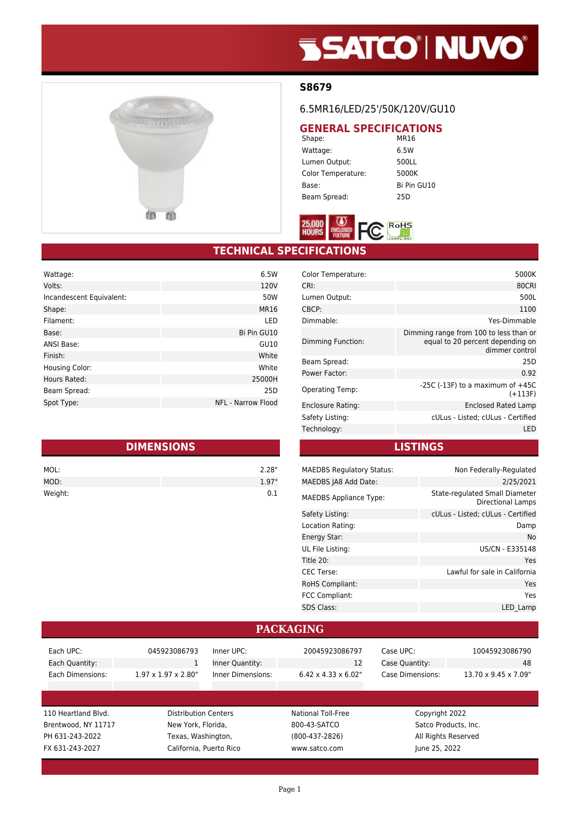# **SSATCO' NUVO'**



### **S8679**

### 6.5MR16/LED/25'/50K/120V/GU10

# **GENERAL SPECIFICATIONS**<br>Shape: MR16

Shape: Wattage: 6.5W Lumen Output: 500LL Color Temperature: 5000K Base: Bi Pin GU10 Beam Spread: 25D



# **TECHNICAL SPECIFICATIONS**

| Wattage:                 | 6.5W                      |
|--------------------------|---------------------------|
| Volts:                   | 120V                      |
| Incandescent Equivalent: | 50W                       |
| Shape:                   | MR16                      |
| Filament:                | LED                       |
| Base:                    | Bi Pin GU10               |
| ANSI Base:               | GU10                      |
| Finish:                  | White                     |
| Housing Color:           | White                     |
| Hours Rated:             | 25000H                    |
| Beam Spread:             | 25D                       |
| Spot Type:               | <b>NFL - Narrow Flood</b> |

| <b>DIMENSIONS</b> |       |  |
|-------------------|-------|--|
| MOL:              | 2.28" |  |
| MOD:              | 1.97" |  |
| Weight:           | ດ 1   |  |

| 5000K                                                                                        |
|----------------------------------------------------------------------------------------------|
| 80CRI                                                                                        |
| 500L                                                                                         |
| 1100                                                                                         |
| Yes-Dimmable                                                                                 |
| Dimming range from 100 to less than or<br>equal to 20 percent depending on<br>dimmer control |
| 25D                                                                                          |
| 0.92                                                                                         |
| -25C (-13F) to a maximum of $+45C$<br>$(+113F)$                                              |
| Enclosed Rated Lamp                                                                          |
| cULus - Listed; cULus - Certified                                                            |
| LED                                                                                          |
|                                                                                              |

#### **LISTINGS**

| <b>MAEDBS Regulatory Status:</b> | Non Federally-Regulated                             |
|----------------------------------|-----------------------------------------------------|
| MAEDBS JA8 Add Date:             | 2/25/2021                                           |
| <b>MAEDBS Appliance Type:</b>    | State-regulated Small Diameter<br>Directional Lamps |
| Safety Listing:                  | cULus - Listed; cULus - Certified                   |
| Location Rating:                 | Damp                                                |
| Energy Star:                     | <b>No</b>                                           |
| UL File Listing:                 | US/CN - E335148                                     |
| Title 20:                        | Yes                                                 |
| <b>CEC</b> Terse:                | Lawful for sale in California                       |
| <b>RoHS Compliant:</b>           | Yes                                                 |
| FCC Compliant:                   | Yes                                                 |
| <b>SDS Class:</b>                | LED Lamp                                            |

#### 110 Heartland Blvd. Distribution Centers National Toll-Free Copyright 2022 Brentwood, NY 11717 New York, Florida, 800-43-SATCO Satco Products, Inc. PH 631-243-2022 Texas, Washington, (800-437-2826) All Rights Reserved FX 631-243-2027 California, Puerto Rico www.satco.com June 25, 2022 **PACKAGING** Each UPC: 045923086793 Each Quantity: 1 Each Dimensions: 1.97 x 1.97 x 2.80" Inner UPC: 20045923086797 Inner Quantity: 12 Inner Dimensions: 6.42 x 4.33 x 6.02" Case UPC: 10045923086790 Case Quantity: 48 Case Dimensions: 13.70 x 9.45 x 7.09"